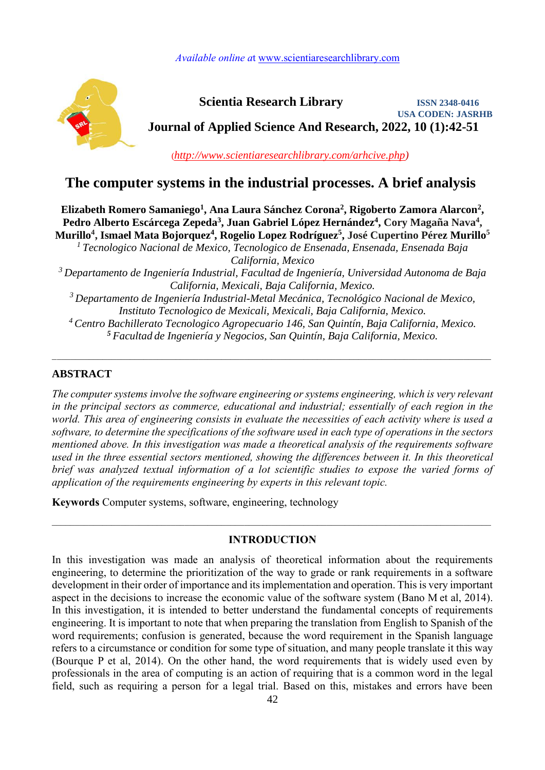*Available online a*t [www.scientiaresearchlibrary.com](http://www.scientiaresearchlibrary.com/)



 **Scientia Research Library ISSN 2348-0416 USA CODEN: JASRHB Journal of Applied Science And Research, 2022, 10 (1):42-51**

(*[http://www.scientiaresearchlibrary.com/arhcive.php\)](http://www.scientiaresearchlibrary.com/arhcive.php)*

# **The computer systems in the industrial processes. A brief analysis**

Elizabeth Romero Samaniego<sup>1</sup>, Ana Laura Sánchez Corona<sup>2</sup>, Rigoberto Zamora Alarcon<sup>2</sup>, Pedro Alberto Escárcega Zepeda<sup>3</sup>, Juan Gabriel López Hernández<sup>4</sup>, Cory Magaña Nava<sup>4</sup>,  $\bf{Murillo^4, Ismael Mata Bojorquez^4, Rogelio Lopez Rodríguez^5, José Cupertino Pérez Murillo^5$ 

*Tecnologico Nacional de Mexico, Tecnologico de Ensenada, Ensenada, Ensenada Baja <sup>1</sup> California, Mexico*

*Departamento de Ingeniería Industrial, Facultad de Ingeniería, Universidad Autonoma de Baja <sup>3</sup> California, Mexicali, Baja California, Mexico.*

*Departamento de Ingeniería Industrial-Metal Mecánica, Tecnológico Nacional de Mexico, <sup>3</sup> Instituto Tecnologico de Mexicali, Mexicali, Baja California, Mexico.*

*Centro Bachillerato Tecnologico Agropecuario 146, San Quintín, Baja California, Mexico. <sup>4</sup> Facultad de Ingeniería y Negocios, San Quintín, Baja California, Mexico. <sup>5</sup>*

*\_*\_\_\_\_\_\_\_\_\_\_\_\_\_\_\_\_\_\_\_\_\_\_\_\_\_\_\_\_\_\_\_\_\_\_\_\_\_\_\_\_\_\_\_\_\_\_\_\_\_\_\_\_\_\_\_\_\_\_\_\_\_\_\_\_\_\_\_\_\_\_\_\_\_\_\_\_\_\_\_\_\_\_\_\_\_\_\_\_\_\_\_\_\_\_\_

## **ABSTRACT**

*The computer systems involve the software engineering or systems engineering, which is very relevant in the principal sectors as commerce, educational and industrial; essentially of each region in the world. This area of engineering consists in evaluate the necessities of each activity where is used a software, to determine the specifications of the software used in each type of operations in the sectors mentioned above. In this investigation was made a theoretical analysis of the requirements software used in the three essential sectors mentioned, showing the differences between it. In this theoretical brief was analyzed textual information of a lot scientific studies to expose the varied forms of application of the requirements engineering by experts in this relevant topic.*

**Keywords** Computer systems, software, engineering, technology

## **INTRODUCTION**

 $\mathcal{L}_\mathcal{L} = \mathcal{L}_\mathcal{L} = \mathcal{L}_\mathcal{L} = \mathcal{L}_\mathcal{L} = \mathcal{L}_\mathcal{L} = \mathcal{L}_\mathcal{L} = \mathcal{L}_\mathcal{L} = \mathcal{L}_\mathcal{L} = \mathcal{L}_\mathcal{L} = \mathcal{L}_\mathcal{L} = \mathcal{L}_\mathcal{L} = \mathcal{L}_\mathcal{L} = \mathcal{L}_\mathcal{L} = \mathcal{L}_\mathcal{L} = \mathcal{L}_\mathcal{L} = \mathcal{L}_\mathcal{L} = \mathcal{L}_\mathcal{L}$ 

In this investigation was made an analysis of theoretical information about the requirements engineering, to determine the prioritization of the way to grade or rank requirements in a software development in their order of importance and its implementation and operation. This is very important aspect in the decisions to increase the economic value of the software system (Bano M et al, 2014). In this investigation, it is intended to better understand the fundamental concepts of requirements engineering. It is important to note that when preparing the translation from English to Spanish of the word requirements; confusion is generated, because the word requirement in the Spanish language refers to a circumstance or condition for some type of situation, and many people translate it this way (Bourque P et al, 2014). On the other hand, the word requirements that is widely used even by professionals in the area of computing is an action of requiring that is a common word in the legal field, such as requiring a person for a legal trial. Based on this, mistakes and errors have been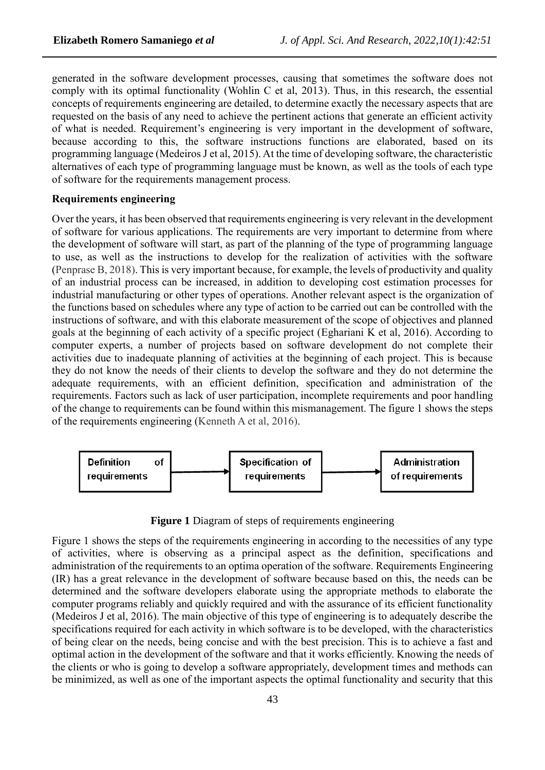generated in the software development processes, causing that sometimes the software does not comply with its optimal functionality (Wohlin C et al, 2013). Thus, in this research, the essential concepts of requirements engineering are detailed, to determine exactly the necessary aspects that are requested on the basis of any need to achieve the pertinent actions that generate an efficient activity of what is needed. Requirement's engineering is very important in the development of software, because according to this, the software instructions functions are elaborated, based on its programming language (Medeiros J et al, 2015). At the time of developing software, the characteristic alternatives of each type of programming language must be known, as well as the tools of each type of software for the requirements management process.

#### **Requirements engineering**

Over the years, it has been observed that requirements engineering is very relevant in the development of software for various applications. The requirements are very important to determine from where the development of software will start, as part of the planning of the type of programming language to use, as well as the instructions to develop for the realization of activities with the software (Penprase B, 2018). This is very important because, for example, the levels of productivity and quality of an industrial process can be increased, in addition to developing cost estimation processes for industrial manufacturing or other types of operations. Another relevant aspect is the organization of the functions based on schedules where any type of action to be carried out can be controlled with the instructions of software, and with this elaborate measurement of the scope of objectives and planned goals at the beginning of each activity of a specific project (Eghariani K et al, 2016). According to computer experts, a number of projects based on software development do not complete their activities due to inadequate planning of activities at the beginning of each project. This is because they do not know the needs of their clients to develop the software and they do not determine the adequate requirements, with an efficient definition, specification and administration of the requirements. Factors such as lack of user participation, incomplete requirements and poor handling of the change to requirements can be found within this mismanagement. The figure 1 shows the steps of the requirements engineering (Kenneth A et al, 2016).



**Figure 1** Diagram of steps of requirements engineering

Figure 1 shows the steps of the requirements engineering in according to the necessities of any type of activities, where is observing as a principal aspect as the definition, specifications and administration of the requirements to an optima operation of the software. Requirements Engineering (IR) has a great relevance in the development of software because based on this, the needs can be determined and the software developers elaborate using the appropriate methods to elaborate the computer programs reliably and quickly required and with the assurance of its efficient functionality (Medeiros J et al, 2016). The main objective of this type of engineering is to adequately describe the specifications required for each activity in which software is to be developed, with the characteristics of being clear on the needs, being concise and with the best precision. This is to achieve a fast and optimal action in the development of the software and that it works efficiently. Knowing the needs of the clients or who is going to develop a software appropriately, development times and methods can be minimized, as well as one of the important aspects the optimal functionality and security that this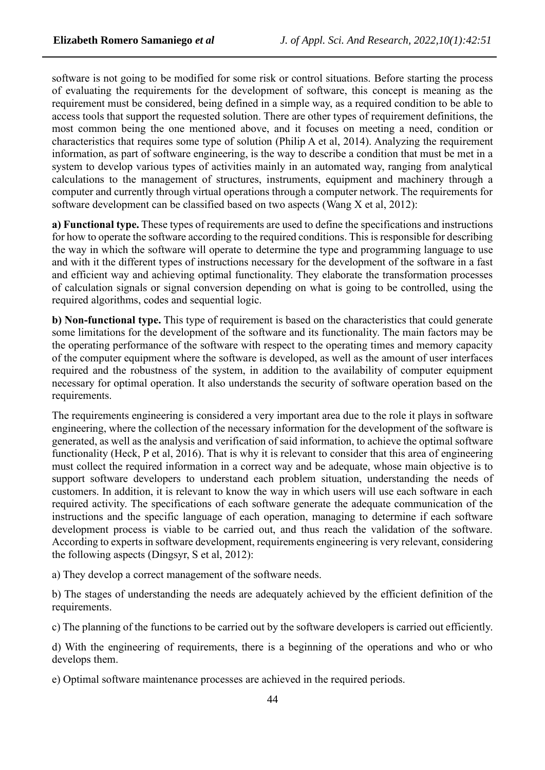software is not going to be modified for some risk or control situations. Before starting the process of evaluating the requirements for the development of software, this concept is meaning as the requirement must be considered, being defined in a simple way, as a required condition to be able to access tools that support the requested solution. There are other types of requirement definitions, the most common being the one mentioned above, and it focuses on meeting a need, condition or characteristics that requires some type of solution (Philip A et al, 2014). Analyzing the requirement information, as part of software engineering, is the way to describe a condition that must be met in a system to develop various types of activities mainly in an automated way, ranging from analytical calculations to the management of structures, instruments, equipment and machinery through a computer and currently through virtual operations through a computer network. The requirements for software development can be classified based on two aspects (Wang X et al, 2012):

**a) Functional type.** These types of requirements are used to define the specifications and instructions for how to operate the software according to the required conditions. This is responsible for describing the way in which the software will operate to determine the type and programming language to use and with it the different types of instructions necessary for the development of the software in a fast and efficient way and achieving optimal functionality. They elaborate the transformation processes of calculation signals or signal conversion depending on what is going to be controlled, using the required algorithms, codes and sequential logic.

**b) Non-functional type.** This type of requirement is based on the characteristics that could generate some limitations for the development of the software and its functionality. The main factors may be the operating performance of the software with respect to the operating times and memory capacity of the computer equipment where the software is developed, as well as the amount of user interfaces required and the robustness of the system, in addition to the availability of computer equipment necessary for optimal operation. It also understands the security of software operation based on the requirements.

The requirements engineering is considered a very important area due to the role it plays in software engineering, where the collection of the necessary information for the development of the software is generated, as well as the analysis and verification of said information, to achieve the optimal software functionality (Heck, P et al, 2016). That is why it is relevant to consider that this area of engineering must collect the required information in a correct way and be adequate, whose main objective is to support software developers to understand each problem situation, understanding the needs of customers. In addition, it is relevant to know the way in which users will use each software in each required activity. The specifications of each software generate the adequate communication of the instructions and the specific language of each operation, managing to determine if each software development process is viable to be carried out, and thus reach the validation of the software. According to experts in software development, requirements engineering is very relevant, considering the following aspects (Dingsyr, S et al, 2012):

a) They develop a correct management of the software needs.

b) The stages of understanding the needs are adequately achieved by the efficient definition of the requirements.

c) The planning of the functions to be carried out by the software developers is carried out efficiently.

d) With the engineering of requirements, there is a beginning of the operations and who or who develops them.

e) Optimal software maintenance processes are achieved in the required periods.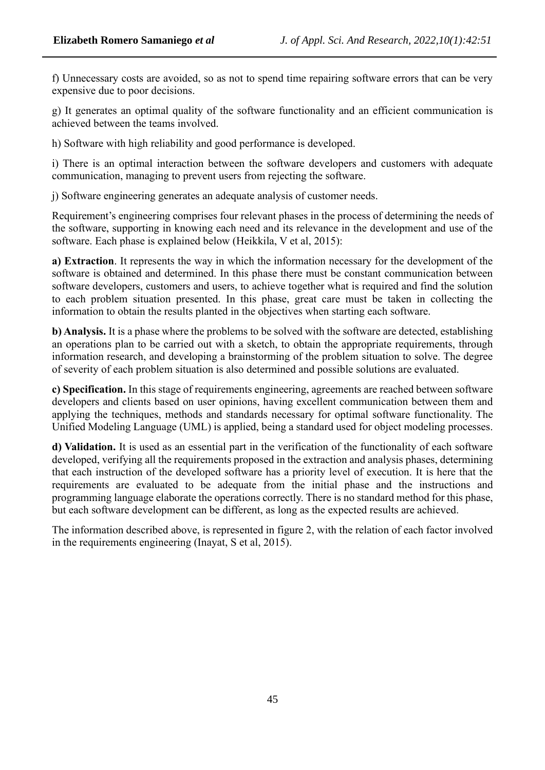f) Unnecessary costs are avoided, so as not to spend time repairing software errors that can be very expensive due to poor decisions.

g) It generates an optimal quality of the software functionality and an efficient communication is achieved between the teams involved.

h) Software with high reliability and good performance is developed.

i) There is an optimal interaction between the software developers and customers with adequate communication, managing to prevent users from rejecting the software.

j) Software engineering generates an adequate analysis of customer needs.

Requirement's engineering comprises four relevant phases in the process of determining the needs of the software, supporting in knowing each need and its relevance in the development and use of the software. Each phase is explained below (Heikkila, V et al, 2015):

**a) Extraction**. It represents the way in which the information necessary for the development of the software is obtained and determined. In this phase there must be constant communication between software developers, customers and users, to achieve together what is required and find the solution to each problem situation presented. In this phase, great care must be taken in collecting the information to obtain the results planted in the objectives when starting each software.

**b) Analysis.** It is a phase where the problems to be solved with the software are detected, establishing an operations plan to be carried out with a sketch, to obtain the appropriate requirements, through information research, and developing a brainstorming of the problem situation to solve. The degree of severity of each problem situation is also determined and possible solutions are evaluated.

**c) Specification.** In this stage of requirements engineering, agreements are reached between software developers and clients based on user opinions, having excellent communication between them and applying the techniques, methods and standards necessary for optimal software functionality. The Unified Modeling Language (UML) is applied, being a standard used for object modeling processes.

**d) Validation.** It is used as an essential part in the verification of the functionality of each software developed, verifying all the requirements proposed in the extraction and analysis phases, determining that each instruction of the developed software has a priority level of execution. It is here that the requirements are evaluated to be adequate from the initial phase and the instructions and programming language elaborate the operations correctly. There is no standard method for this phase, but each software development can be different, as long as the expected results are achieved.

The information described above, is represented in figure 2, with the relation of each factor involved in the requirements engineering (Inayat, S et al, 2015).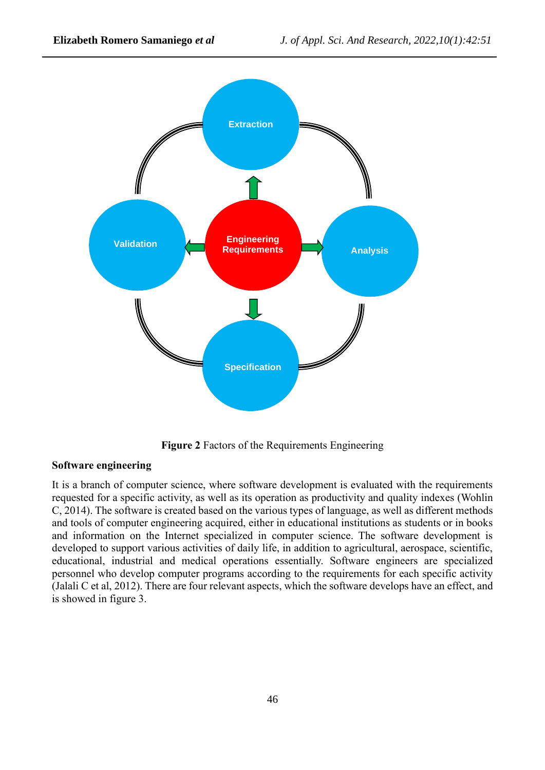

**Figure 2** Factors of the Requirements Engineering

## **Software engineering**

It is a branch of computer science, where software development is evaluated with the requirements requested for a specific activity, as well as its operation as productivity and quality indexes (Wohlin C, 2014). The software is created based on the various types of language, as well as different methods and tools of computer engineering acquired, either in educational institutions as students or in books and information on the Internet specialized in computer science. The software development is developed to support various activities of daily life, in addition to agricultural, aerospace, scientific, educational, industrial and medical operations essentially. Software engineers are specialized personnel who develop computer programs according to the requirements for each specific activity (Jalali C et al, 2012). There are four relevant aspects, which the software develops have an effect, and is showed in figure 3.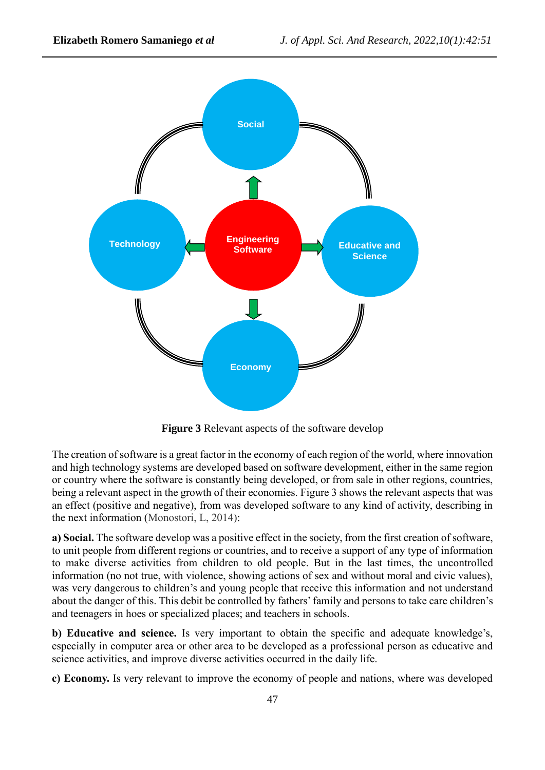

**Figure 3** Relevant aspects of the software develop

The creation of software is a great factor in the economy of each region of the world, where innovation and high technology systems are developed based on software development, either in the same region or country where the software is constantly being developed, or from sale in other regions, countries, being a relevant aspect in the growth of their economies. Figure 3 shows the relevant aspects that was an effect (positive and negative), from was developed software to any kind of activity, describing in the next information (Monostori, L, 2014):

**a) Social.** The software develop was a positive effect in the society, from the first creation of software, to unit people from different regions or countries, and to receive a support of any type of information to make diverse activities from children to old people. But in the last times, the uncontrolled information (no not true, with violence, showing actions of sex and without moral and civic values), was very dangerous to children's and young people that receive this information and not understand about the danger of this. This debit be controlled by fathers'family and persons to take care children's and teenagers in hoes or specialized places; and teachers in schools.

**b) Educative and science.** Is very important to obtain the specific and adequate knowledge's, especially in computer area or other area to be developed as a professional person as educative and science activities, and improve diverse activities occurred in the daily life.

**c) Economy.** Is very relevant to improve the economy of people and nations, where was developed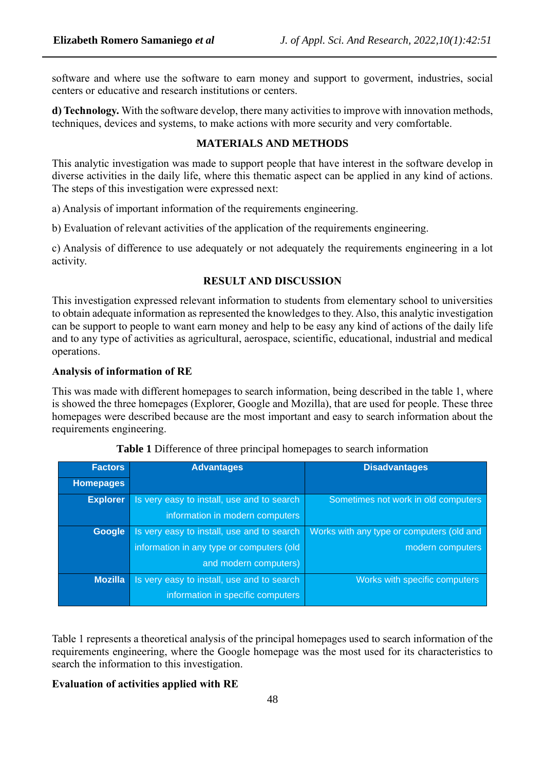software and where use the software to earn money and support to goverment, industries, social centers or educative and research institutions or centers.

**d) Technology.** With the software develop, there many activities to improve with innovation methods, techniques, devices and systems, to make actions with more security and very comfortable.

## **MATERIALS AND METHODS**

This analytic investigation was made to support people that have interest in the software develop in diverse activities in the daily life, where this thematic aspect can be applied in any kind of actions. The steps of this investigation were expressed next:

a) Analysis of important information of the requirements engineering.

b) Evaluation of relevant activities of the application of the requirements engineering.

c) Analysis of difference to use adequately or not adequately the requirements engineering in a lot activity.

## **RESULT AND DISCUSSION**

This investigation expressed relevant information to students from elementary school to universities to obtain adequate information as represented the knowledges to they. Also, this analytic investigation can be support to people to want earn money and help to be easy any kind of actions of the daily life and to any type of activities as agricultural, aerospace, scientific, educational, industrial and medical operations.

#### **Analysis of information of RE**

This was made with different homepages to search information, being described in the table 1, where is showed the three homepages (Explorer, Google and Mozilla), that are used for people. These three homepages were described because are the most important and easy to search information about the requirements engineering.

| <b>Factors</b>   | <b>Advantages</b>                          | <b>Disadvantages</b>                      |
|------------------|--------------------------------------------|-------------------------------------------|
| <b>Homepages</b> |                                            |                                           |
| <b>Explorer</b>  | Is very easy to install, use and to search | Sometimes not work in old computers       |
|                  | information in modern computers            |                                           |
| <b>Google</b>    | Is very easy to install, use and to search | Works with any type or computers (old and |
|                  | information in any type or computers (old  | modern computers                          |
|                  | and modern computers)                      |                                           |
| <b>Mozilla</b>   | Is very easy to install, use and to search | Works with specific computers             |
|                  | information in specific computers          |                                           |

**Table 1** Difference of three principal homepages to search information

Table 1 represents a theoretical analysis of the principal homepages used to search information of the requirements engineering, where the Google homepage was the most used for its characteristics to search the information to this investigation.

## **Evaluation of activities applied with RE**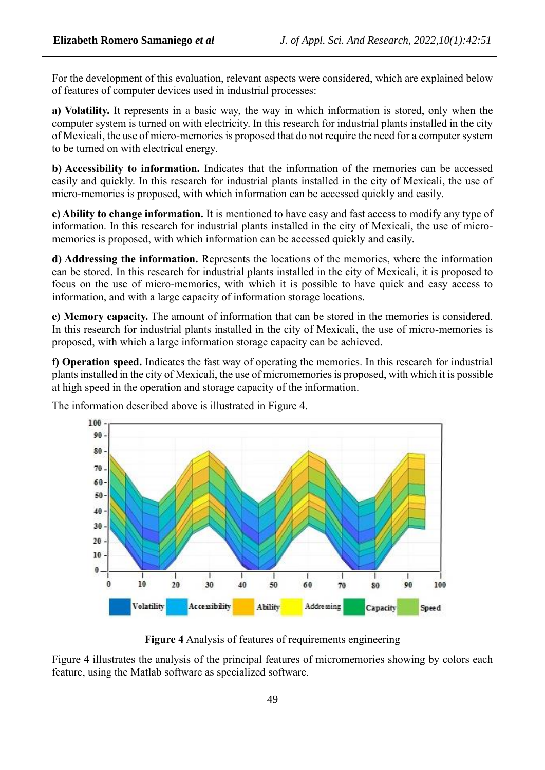For the development of this evaluation, relevant aspects were considered, which are explained below of features of computer devices used in industrial processes:

**a) Volatility.** It represents in a basic way, the way in which information is stored, only when the computer system is turned on with electricity. In this research for industrial plants installed in the city of Mexicali, the use of micro-memories is proposed that do not require the need for a computer system to be turned on with electrical energy.

**b) Accessibility to information.** Indicates that the information of the memories can be accessed easily and quickly. In this research for industrial plants installed in the city of Mexicali, the use of micro-memories is proposed, with which information can be accessed quickly and easily.

**c) Ability to change information.** It is mentioned to have easy and fast access to modify any type of information. In this research for industrial plants installed in the city of Mexicali, the use of micromemories is proposed, with which information can be accessed quickly and easily.

**d) Addressing the information.** Represents the locations of the memories, where the information can be stored. In this research for industrial plants installed in the city of Mexicali, it is proposed to focus on the use of micro-memories, with which it is possible to have quick and easy access to information, and with a large capacity of information storage locations.

**e) Memory capacity.** The amount of information that can be stored in the memories is considered. In this research for industrial plants installed in the city of Mexicali, the use of micro-memories is proposed, with which a large information storage capacity can be achieved.

**f) Operation speed.** Indicates the fast way of operating the memories. In this research for industrial plants installed in the city of Mexicali, the use of micromemories is proposed, with which it is possible at high speed in the operation and storage capacity of the information.



The information described above is illustrated in Figure 4.

**Figure 4** Analysis of features of requirements engineering

Figure 4 illustrates the analysis of the principal features of micromemories showing by colors each feature, using the Matlab software as specialized software.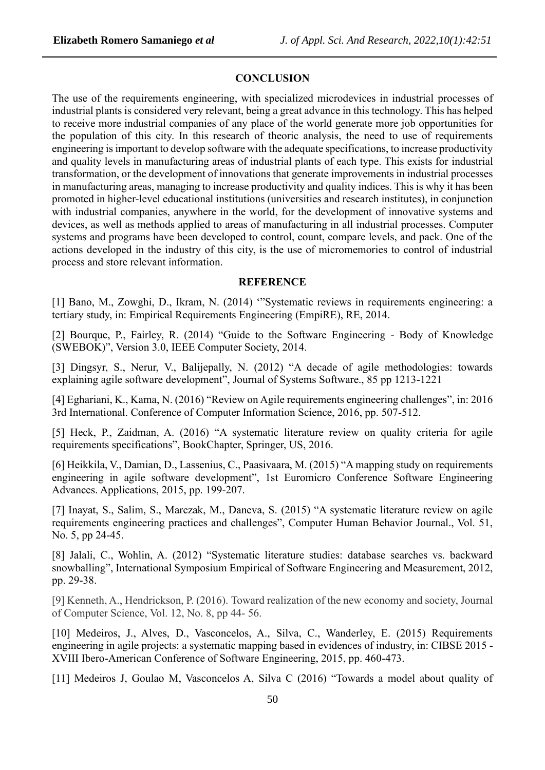#### **CONCLUSION**

The use of the requirements engineering, with specialized microdevices in industrial processes of industrial plants is considered very relevant, being a great advance in this technology. This has helped to receive more industrial companies of any place of the world generate more job opportunities for the population of this city. In this research of theoric analysis, the need to use of requirements engineering is important to develop software with the adequate specifications, to increase productivity and quality levels in manufacturing areas of industrial plants of each type. This exists for industrial transformation, or the development of innovations that generate improvements in industrial processes in manufacturing areas, managing to increase productivity and quality indices. This is why it has been promoted in higher-level educational institutions (universities and research institutes), in conjunction with industrial companies, anywhere in the world, for the development of innovative systems and devices, as well as methods applied to areas of manufacturing in all industrial processes. Computer systems and programs have been developed to control, count, compare levels, and pack. One of the actions developed in the industry of this city, is the use of micromemories to control of industrial process and store relevant information.

#### **REFERENCE**

[1] Bano, M., Zowghi, D., Ikram, N. (2014) '"Systematic reviews in requirements engineering: a tertiary study, in: Empirical Requirements Engineering (EmpiRE), RE, 2014.

[2] Bourque, P., Fairley, R. (2014) "Guide to the Software Engineering - Body of Knowledge (SWEBOK)", Version 3.0, IEEE Computer Society, 2014.

[3] Dingsyr, S., Nerur, V., Balijepally, N. (2012) "A decade of agile methodologies: towards explaining agile software development", Journal of Systems Software., 85 pp 1213-1221

[4] Eghariani, K., Kama, N. (2016) "Review on Agile requirements engineering challenges", in: 2016 3rd International. Conference of Computer Information Science, 2016, pp. 507-512.

[5] Heck, P., Zaidman, A. (2016) "A systematic literature review on quality criteria for agile requirements specifications", BookChapter, Springer, US, 2016.

[6] Heikkila, V., Damian, D., Lassenius, C., Paasivaara, M. (2015) "A mapping study on requirements engineering in agile software development", 1st Euromicro Conference Software Engineering Advances. Applications, 2015, pp. 199-207.

[7] Inayat, S., Salim, S., Marczak, M., Daneva, S. (2015) "A systematic literature review on agile requirements engineering practices and challenges", Computer Human Behavior Journal., Vol. 51, No. 5, pp 24-45.

[8] Jalali, C., Wohlin, A. (2012) "Systematic literature studies: database searches vs. backward snowballing", International Symposium Empirical of Software Engineering and Measurement, 2012, pp. 29-38.

[9] Kenneth, A., Hendrickson, P. (2016). Toward realization of the new economy and society, Journal of Computer Science, Vol. 12, No. 8, pp 44- 56.

[10] Medeiros, J., Alves, D., Vasconcelos, A., Silva, C., Wanderley, E. (2015) Requirements engineering in agile projects: a systematic mapping based in evidences of industry, in: CIBSE 2015 - XVIII Ibero-American Conference of Software Engineering, 2015, pp. 460-473.

[11] Medeiros J, Goulao M, Vasconcelos A, Silva C (2016) "Towards a model about quality of